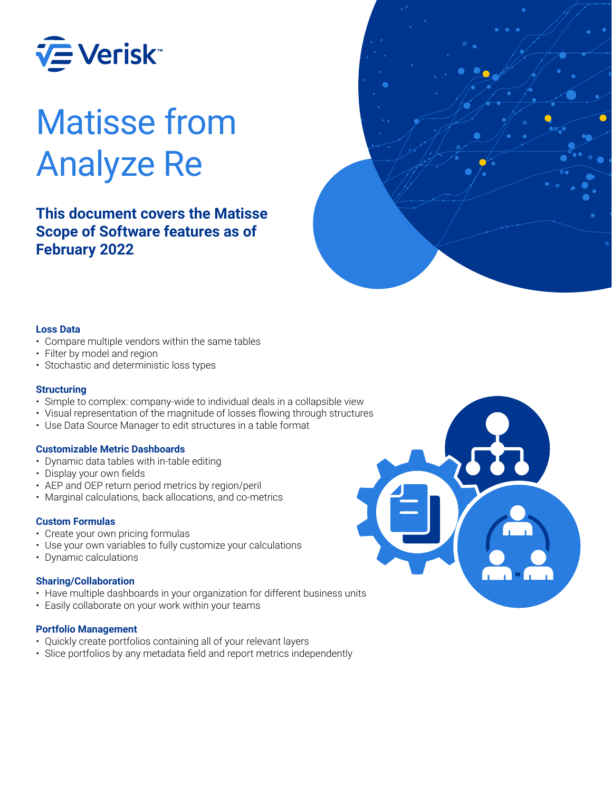

# Matisse from Analyze Re

**This document covers the Matisse Scope of Software features as of February 2022**



#### **Loss Data**

- Compare multiple vendors within the same tables
- Filter by model and region
- Stochastic and deterministic loss types

#### **Structuring**

- Simple to complex: company-wide to individual deals in a collapsible view
- Visual representation of the magnitude of losses flowing through structures
- Use Data Source Manager to edit structures in a table format

#### **Customizable Metric Dashboards**

- Dynamic data tables with in-table editing
- Display your own fields
- AEP and OEP return period metrics by region/peril
- Marginal calculations, back allocations, and co-metrics

#### **Custom Formulas**

- Create your own pricing formulas
- Use your own variables to fully customize your calculations
- Dynamic calculations

#### **Sharing/Collaboration**

- Have multiple dashboards in your organization for different business units
- Easily collaborate on your work within your teams

#### **Portfolio Management**

- Quickly create portfolios containing all of your relevant layers
- Slice portfolios by any metadata field and report metrics independently